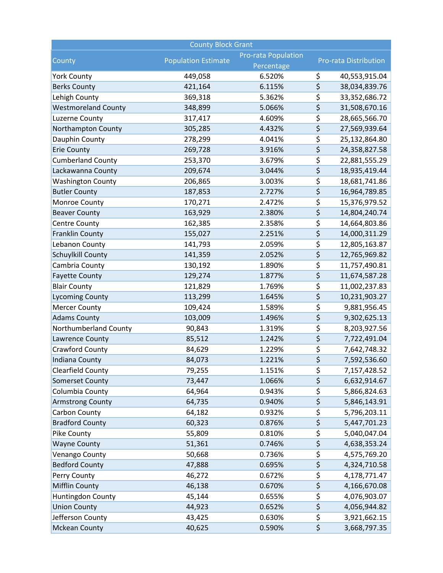| <b>County Block Grant</b>  |                            |                                          |                                     |               |  |  |  |
|----------------------------|----------------------------|------------------------------------------|-------------------------------------|---------------|--|--|--|
| County                     | <b>Population Estimate</b> | <b>Pro-rata Population</b><br>Percentage | <b>Pro-rata Distribution</b>        |               |  |  |  |
| <b>York County</b>         | 449,058                    | 6.520%                                   | \$                                  | 40,553,915.04 |  |  |  |
| <b>Berks County</b>        | 421,164                    | 6.115%                                   | \$                                  | 38,034,839.76 |  |  |  |
| Lehigh County              | 369,318                    | 5.362%                                   | \$                                  | 33,352,686.72 |  |  |  |
| <b>Westmoreland County</b> | 348,899                    | 5.066%                                   | \$                                  | 31,508,670.16 |  |  |  |
| Luzerne County             | 317,417                    | 4.609%                                   | \$                                  | 28,665,566.70 |  |  |  |
| Northampton County         | 305,285                    | 4.432%                                   | $\overline{\boldsymbol{\varsigma}}$ | 27,569,939.64 |  |  |  |
| Dauphin County             | 278,299                    | 4.041%                                   | \$                                  | 25,132,864.80 |  |  |  |
| <b>Erie County</b>         | 269,728                    | 3.916%                                   | \$                                  | 24,358,827.58 |  |  |  |
| <b>Cumberland County</b>   | 253,370                    | 3.679%                                   | \$                                  | 22,881,555.29 |  |  |  |
| Lackawanna County          | 209,674                    | 3.044%                                   | \$                                  | 18,935,419.44 |  |  |  |
| <b>Washington County</b>   | 206,865                    | 3.003%                                   | \$                                  | 18,681,741.86 |  |  |  |
| <b>Butler County</b>       | 187,853                    | 2.727%                                   | $\overline{\boldsymbol{\zeta}}$     | 16,964,789.85 |  |  |  |
| Monroe County              | 170,271                    | 2.472%                                   | \$                                  | 15,376,979.52 |  |  |  |
| <b>Beaver County</b>       | 163,929                    | 2.380%                                   | \$                                  | 14,804,240.74 |  |  |  |
| <b>Centre County</b>       | 162,385                    | 2.358%                                   | \$                                  | 14,664,803.86 |  |  |  |
| <b>Franklin County</b>     | 155,027                    | 2.251%                                   | \$                                  | 14,000,311.29 |  |  |  |
| Lebanon County             | 141,793                    | 2.059%                                   | \$                                  | 12,805,163.87 |  |  |  |
| Schuylkill County          | 141,359                    | 2.052%                                   | \$                                  | 12,765,969.82 |  |  |  |
| Cambria County             | 130,192                    | 1.890%                                   | \$                                  | 11,757,490.81 |  |  |  |
| <b>Fayette County</b>      | 129,274                    | 1.877%                                   | \$                                  | 11,674,587.28 |  |  |  |
| <b>Blair County</b>        | 121,829                    | 1.769%                                   | \$                                  | 11,002,237.83 |  |  |  |
| <b>Lycoming County</b>     | 113,299                    | 1.645%                                   | \$                                  | 10,231,903.27 |  |  |  |
| <b>Mercer County</b>       | 109,424                    | 1.589%                                   | \$                                  | 9,881,956.45  |  |  |  |
| <b>Adams County</b>        | 103,009                    | 1.496%                                   | \$                                  | 9,302,625.13  |  |  |  |
| Northumberland County      | 90,843                     | 1.319%                                   | $\overline{\boldsymbol{\zeta}}$     | 8,203,927.56  |  |  |  |
| Lawrence County            | 85,512                     | 1.242%                                   | \$                                  | 7,722,491.04  |  |  |  |
| Crawford County            | 84,629                     | 1.229%                                   | \$                                  | 7,642,748.32  |  |  |  |
| <b>Indiana County</b>      | 84,073                     | 1.221%                                   | \$                                  | 7,592,536.60  |  |  |  |
| Clearfield County          | 79,255                     | 1.151%                                   | \$                                  | 7,157,428.52  |  |  |  |
| <b>Somerset County</b>     | 73,447                     | 1.066%                                   | \$                                  | 6,632,914.67  |  |  |  |
| Columbia County            | 64,964                     | 0.943%                                   | \$                                  | 5,866,824.63  |  |  |  |
| <b>Armstrong County</b>    | 64,735                     | 0.940%                                   | \$                                  | 5,846,143.91  |  |  |  |
| Carbon County              | 64,182                     | 0.932%                                   | \$                                  | 5,796,203.11  |  |  |  |
| <b>Bradford County</b>     | 60,323                     | 0.876%                                   | \$                                  | 5,447,701.23  |  |  |  |
| Pike County                | 55,809                     | 0.810%                                   | \$                                  | 5,040,047.04  |  |  |  |
| <b>Wayne County</b>        | 51,361                     | 0.746%                                   | \$                                  | 4,638,353.24  |  |  |  |
| Venango County             | 50,668                     | 0.736%                                   | \$                                  | 4,575,769.20  |  |  |  |
| <b>Bedford County</b>      | 47,888                     | 0.695%                                   | \$                                  | 4,324,710.58  |  |  |  |
| Perry County               | 46,272                     | 0.672%                                   | \$                                  | 4,178,771.47  |  |  |  |
| <b>Mifflin County</b>      | 46,138                     | 0.670%                                   | \$                                  | 4,166,670.08  |  |  |  |
| Huntingdon County          | 45,144                     | 0.655%                                   | \$                                  | 4,076,903.07  |  |  |  |
| <b>Union County</b>        | 44,923                     | 0.652%                                   | \$                                  | 4,056,944.82  |  |  |  |
| Jefferson County           | 43,425                     | 0.630%                                   | \$                                  | 3,921,662.15  |  |  |  |
| <b>Mckean County</b>       | 40,625                     | 0.590%                                   | \$                                  | 3,668,797.35  |  |  |  |